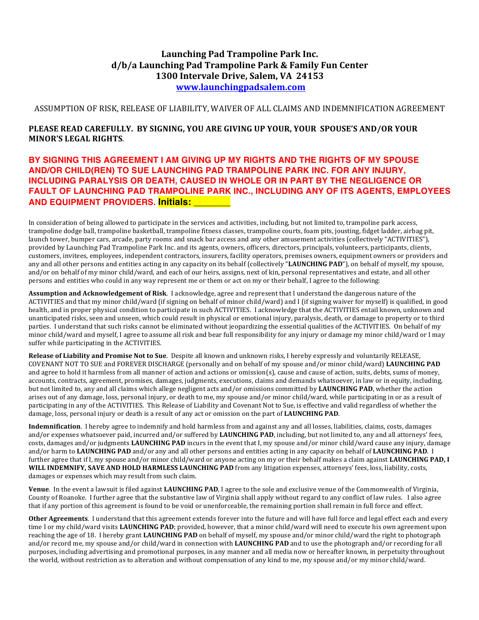# **Launching Pad Trampoline Park Inc. d/b/a Launching Pad Trampoline Park & Family Fun Center 1300 Intervale Drive, Salem, VA 24153 www.launchingpadsalem.com**

ASSUMPTION OF RISK, RELEASE OF LIABILITY, WAIVER OF ALL CLAIMS AND INDEMNIFICATION AGREEMENT

### **PLEASE READ CAREFULLY. BY SIGNING, YOU ARE GIVING UP YOUR, YOUR SPOUSE'S AND/OR YOUR MINOR'S LEGAL RIGHTS.**

## **BY SIGNING THIS AGREEMENT I AM GIVING UP MY RIGHTS AND THE RIGHTS OF MY SPOUSE AND/OR CHILD(REN) TO SUE LAUNCHING PAD TRAMPOLINE PARK INC. FOR ANY INJURY, INCLUDING PARALYSIS OR DEATH, CAUSED IN WHOLE OR IN PART BY THE NEGLIGENCE OR FAULT OF LAUNCHING PAD TRAMPOLINE PARK INC., INCLUDING ANY OF ITS AGENTS, EMPLOYEES AND EQUIPMENT PROVIDERS. Initials: \_\_\_\_\_\_\_**

In consideration of being allowed to participate in the services and activities, including, but not limited to, trampoline park access, trampoline dodge ball, trampoline basketball, trampoline fitness classes, trampoline courts, foam pits, jousting, fidget ladder, airbag pit, launch tower, bumper cars, arcade, party rooms and snack bar access and any other amusement activities (collectively "ACTIVITIES"), provided by Launching Pad Trampoline Park Inc. and its agents, owners, officers, directors, principals, volunteers, participants, clients, customers, invitees, employees, independent contractors, insurers, facility operators, premises owners, equipment owners or providers and any and all other persons and entities acting in any capacity on its behalf (collectively "LAUNCHING PAD"), on behalf of myself, my spouse, and/or on behalf of my minor child/ward, and each of our heirs, assigns, next of kin, personal representatives and estate, and all other persons and entities who could in any way represent me or them or act on my or their behalf, I agree to the following:

**Assumption and Acknowledgement of Risk**. I acknowledge, agree and represent that I understand the dangerous nature of the ACTIVITIES and that my minor child/ward (if signing on behalf of minor child/ward) and I (if signing waiver for myself) is qualified, in good health, and in proper physical condition to participate in such ACTIVITIES. I acknowledge that the ACTIVITIES entail known, unknown and unanticipated risks, seen and unseen, which could result in physical or emotional injury, paralysis, death, or damage to property or to third parties. I understand that such risks cannot be eliminated without jeopardizing the essential qualities of the ACTIVITIES. On behalf of my minor child/ward and myself, I agree to assume all risk and bear full responsibility for any injury or damage my minor child/ward or I may suffer while participating in the ACTIVITIES.

**Release of Liability and Promise Not to Sue**. Despite all known and unknown risks, I hereby expressly and voluntarily RELEASE. COVENANT NOT TO SUE and FOREVER DISCHARGE (personally and on behalf of my spouse and/or minor child/ward) **LAUNCHING PAD** and agree to hold it harmless from all manner of action and actions or omission(s), cause and cause of action, suits, debts, sums of money, accounts, contracts, agreement, promises, damages, judgments, executions, claims and demands whatsoever, in law or in equity, including, but not limited to, any and all claims which allege negligent acts and/or omissions committed by **LAUNCHING PAD**, whether the action arises out of any damage, loss, personal injury, or death to me, my spouse and/or minor child/ward, while participating in or as a result of participating in any of the ACTIVITIES. This Release of Liability and Covenant Not to Sue, is effective and valid regardless of whether the damage, loss, personal injury or death is a result of any act or omission on the part of LAUNCHING PAD.

Indemnification. I hereby agree to indemnify and hold harmless from and against any and all losses, liabilities, claims, costs, damages and/or expenses whatsoever paid, incurred and/or suffered by LAUNCHING PAD, including, but not limited to, any and all attorneys' fees, costs, damages and/or judgments LAUNCHING PAD incurs in the event that I, my spouse and/or minor child/ward cause any injury, damage and/or harm to LAUNCHING PAD and/or any and all other persons and entities acting in any capacity on behalf of LAUNCHING PAD. I further agree that if I, my spouse and/or minor child/ward or anyone acting on my or their behalf makes a claim against LAUNCHING PAD, I WILL INDEMNIFY, SAVE AND HOLD HARMLESS LAUNCHING PAD from any litigation expenses, attorneys' fees, loss, liability, costs, damages or expenses which may result from such claim.

**Venue**. In the event a lawsuit is filed against **LAUNCHING PAD**, I agree to the sole and exclusive venue of the Commonwealth of Virginia, County of Roanoke. I further agree that the substantive law of Virginia shall apply without regard to any conflict of law rules. I also agree that if any portion of this agreement is found to be void or unenforceable, the remaining portion shall remain in full force and effect.

**Other Agreements**. I understand that this agreement extends forever into the future and will have full force and legal effect each and every time I or my child/ward visits LAUNCHING PAD; provided, however, that a minor child/ward will need to execute his own agreement upon reaching the age of 18. I hereby grant **LAUNCHING PAD** on behalf of myself, my spouse and/or minor child/ward the right to photograph and/or record me, my spouse and/or child/ward in connection with LAUNCHING PAD and to use the photograph and/or recording for all purposes, including advertising and promotional purposes, in any manner and all media now or hereafter known, in perpetuity throughout the world, without restriction as to alteration and without compensation of any kind to me, my spouse and/or my minor child/ward.